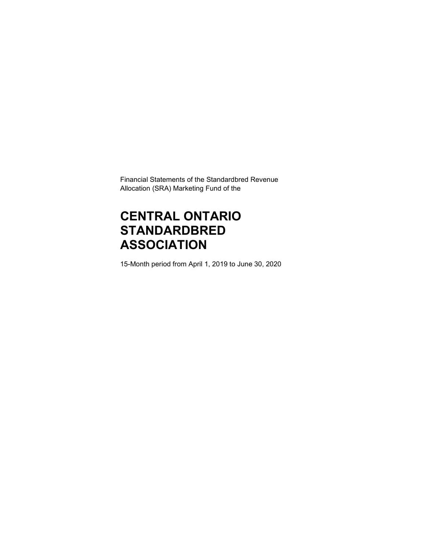Financial Statements of the Standardbred Revenue Allocation (SRA) Marketing Fund of the

# **CENTRAL ONTARIO STANDARDBRED ASSOCIATION**

15-Month period from April 1, 2019 to June 30, 2020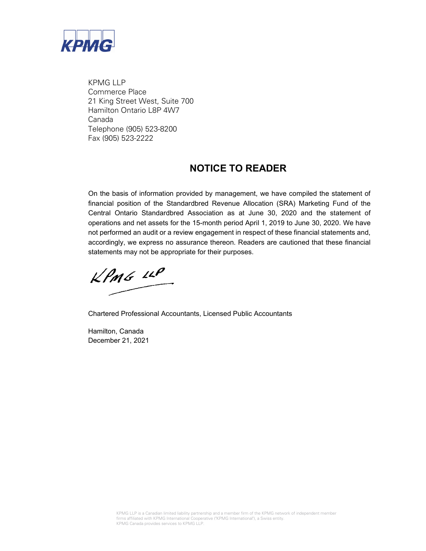

KPMG LLP Commerce Place 21 King Street West, Suite 700 Hamilton Ontario L8P 4W7 Canada Telephone (905) 523-8200 Fax (905) 523-2222

### **NOTICE TO READER**

On the basis of information provided by management, we have compiled the statement of financial position of the Standardbred Revenue Allocation (SRA) Marketing Fund of the Central Ontario Standardbred Association as at June 30, 2020 and the statement of operations and net assets for the 15-month period April 1, 2019 to June 30, 2020. We have not performed an audit or a review engagement in respect of these financial statements and, accordingly, we express no assurance thereon. Readers are cautioned that these financial statements may not be appropriate for their purposes.

 $KPMG$  12P

Chartered Professional Accountants, Licensed Public Accountants

Hamilton, Canada December 21, 2021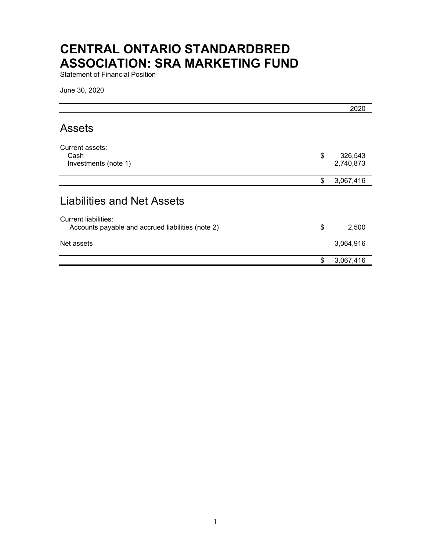# **CENTRAL ONTARIO STANDARDBRED ASSOCIATION: SRA MARKETING FUND**

Statement of Financial Position

June 30, 2020

|                                                                                  | 2020                       |
|----------------------------------------------------------------------------------|----------------------------|
| <b>Assets</b>                                                                    |                            |
| Current assets:<br>Cash<br>Investments (note 1)                                  | \$<br>326,543<br>2,740,873 |
|                                                                                  | \$<br>3,067,416            |
| <b>Liabilities and Net Assets</b>                                                |                            |
| <b>Current liabilities:</b><br>Accounts payable and accrued liabilities (note 2) | \$<br>2,500                |
| Net assets                                                                       | 3,064,916                  |
|                                                                                  | \$<br>3,067,416            |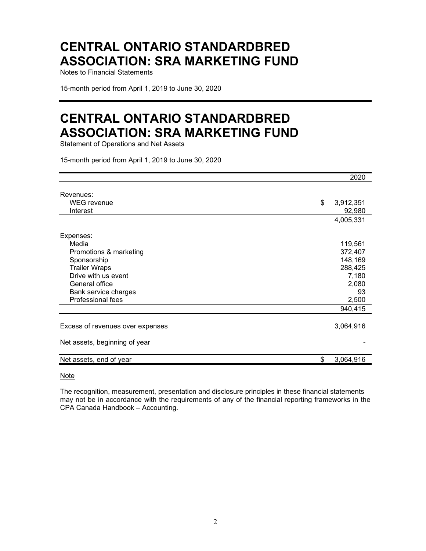## **CENTRAL ONTARIO STANDARDBRED ASSOCIATION: SRA MARKETING FUND**

Notes to Financial Statements

15-month period from April 1, 2019 to June 30, 2020

### **CENTRAL ONTARIO STANDARDBRED ASSOCIATION: SRA MARKETING FUND**

Statement of Operations and Net Assets

15-month period from April 1, 2019 to June 30, 2020

|                                  | 2020            |
|----------------------------------|-----------------|
| Revenues:                        |                 |
| <b>WEG</b> revenue               | \$<br>3,912,351 |
| Interest                         | 92,980          |
|                                  | 4,005,331       |
| Expenses:                        |                 |
| Media                            | 119,561         |
| Promotions & marketing           | 372,407         |
| Sponsorship                      | 148,169         |
| <b>Trailer Wraps</b>             | 288,425         |
| Drive with us event              | 7,180           |
| General office                   | 2,080           |
| Bank service charges             | 93              |
| Professional fees                | 2,500           |
|                                  | 940,415         |
|                                  |                 |
| Excess of revenues over expenses | 3,064,916       |
| Net assets, beginning of year    |                 |
|                                  |                 |
| Net assets, end of year          | \$<br>3,064,916 |
|                                  |                 |

Note

The recognition, measurement, presentation and disclosure principles in these financial statements may not be in accordance with the requirements of any of the financial reporting frameworks in the CPA Canada Handbook – Accounting.